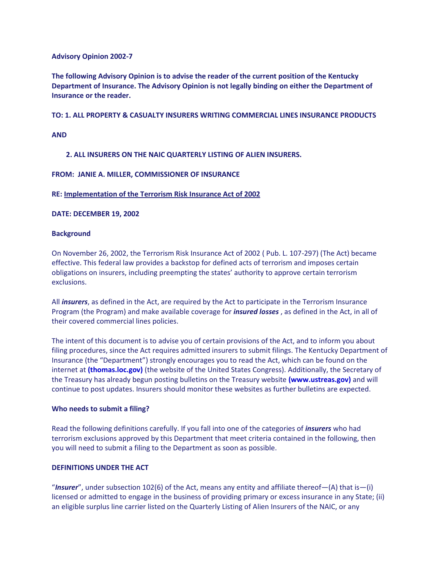### **Advisory Opinion 2002-7**

**The following Advisory Opinion is to advise the reader of the current position of the Kentucky Department of Insurance. The Advisory Opinion is not legally binding on either the Department of Insurance or the reader.**

**TO: 1. ALL PROPERTY & CASUALTY INSURERS WRITING COMMERCIAL LINES INSURANCE PRODUCTS** 

### **AND**

# **2. ALL INSURERS ON THE NAIC QUARTERLY LISTING OF ALIEN INSURERS.**

## **FROM: JANIE A. MILLER, COMMISSIONER OF INSURANCE**

### **RE: Implementation of the Terrorism Risk Insurance Act of 2002**

### **DATE: DECEMBER 19, 2002**

### **Background**

On November 26, 2002, the Terrorism Risk Insurance Act of 2002 ( Pub. L. 107-297) (The Act) became effective. This federal law provides a backstop for defined acts of terrorism and imposes certain obligations on insurers, including preempting the states' authority to approve certain terrorism exclusions.

All *insurers*, as defined in the Act, are required by the Act to participate in the Terrorism Insurance Program (the Program) and make available coverage for *insured losses* , as defined in the Act, in all of their covered commercial lines policies.

The intent of this document is to advise you of certain provisions of the Act, and to inform you about filing procedures, since the Act requires admitted insurers to submit filings. The Kentucky Department of Insurance (the "Department") strongly encourages you to read the Act, which can be found on the internet at **[\(thomas.loc.gov\)](http://doi.ppr.ky.gov/kentucky/outside.asp?urlstr=%22http://thomas.loc.gov/%22)** (the website of the United States Congress). Additionally, the Secretary of the Treasury has already begun posting bulletins on the Treasury website **[\(www.ustreas.gov\)](http://doi.ppr.ky.gov/kentucky/outside.asp?urlstr=%22http://www.ustreas.gov/%22)** and will continue to post updates. Insurers should monitor these websites as further bulletins are expected.

#### **Who needs to submit a filing?**

Read the following definitions carefully. If you fall into one of the categories of *insurers* who had terrorism exclusions approved by this Department that meet criteria contained in the following, then you will need to submit a filing to the Department as soon as possible.

#### **DEFINITIONS UNDER THE ACT**

"*Insurer*", under subsection 102(6) of the Act, means any entity and affiliate thereof—(A) that is—(i) licensed or admitted to engage in the business of providing primary or excess insurance in any State; (ii) an eligible surplus line carrier listed on the Quarterly Listing of Alien Insurers of the NAIC, or any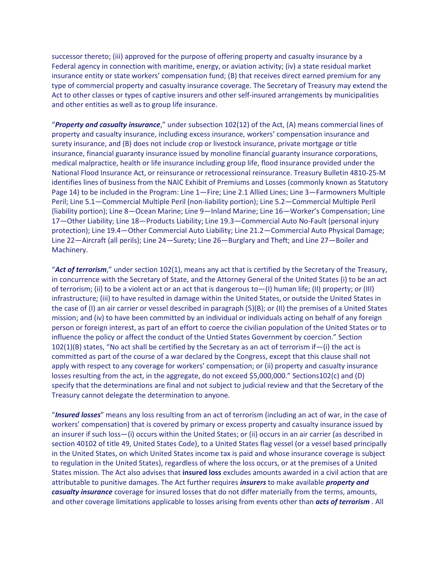successor thereto; (iii) approved for the purpose of offering property and casualty insurance by a Federal agency in connection with maritime, energy, or aviation activity; (iv) a state residual market insurance entity or state workers' compensation fund; (B) that receives direct earned premium for any type of commercial property and casualty insurance coverage. The Secretary of Treasury may extend the Act to other classes or types of captive insurers and other self-insured arrangements by municipalities and other entities as well as to group life insurance.

"*Property and casualty insurance*," under subsection 102(12) of the Act, (A) means commercial lines of property and casualty insurance, including excess insurance, workers' compensation insurance and surety insurance, and (B) does not include crop or livestock insurance, private mortgage or title insurance, financial guaranty insurance issued by monoline financial guaranty insurance corporations, medical malpractice, health or life insurance including group life, flood insurance provided under the National Flood Insurance Act, or reinsurance or retrocessional reinsurance. Treasury Bulletin 4810-25-M identifies lines of business from the NAIC Exhibit of Premiums and Losses (commonly known as Statutory Page 14) to be included in the Program: Line 1—Fire; Line 2.1 Allied Lines; Line 3—Farmowners Multiple Peril; Line 5.1—Commercial Multiple Peril (non-liability portion); Line 5.2—Commercial Multiple Peril (liability portion); Line 8—Ocean Marine; Line 9—Inland Marine; Line 16—Worker's Compensation; Line 17—Other Liability; Line 18—Products Liability; Line 19.3—Commercial Auto No-Fault (personal injury protection); Line 19.4—Other Commercial Auto Liability; Line 21.2—Commercial Auto Physical Damage; Line 22—Aircraft (all perils); Line 24—Surety; Line 26—Burglary and Theft; and Line 27—Boiler and Machinery.

"*Act of terrorism*," under section 102(1), means any act that is certified by the Secretary of the Treasury, in concurrence with the Secretary of State, and the Attorney General of the United States (i) to be an act of terrorism; (ii) to be a violent act or an act that is dangerous to—(I) human life; (II) property; or (III) infrastructure; (iii) to have resulted in damage within the United States, or outside the United States in the case of (I) an air carrier or vessel described in paragraph (5)(B); or (II) the premises of a United States mission; and (iv) to have been committed by an individual or individuals acting on behalf of any foreign person or foreign interest, as part of an effort to coerce the civilian population of the United States or to influence the policy or affect the conduct of the Untied States Government by coercion." Section 102(1)(B) states, "No act shall be certified by the Secretary as an act of terrorism if—(i) the act is committed as part of the course of a war declared by the Congress, except that this clause shall not apply with respect to any coverage for workers' compensation; or (ii) property and casualty insurance losses resulting from the act, in the aggregate, do not exceed \$5,000,000." Sections102(c) and (D) specify that the determinations are final and not subject to judicial review and that the Secretary of the Treasury cannot delegate the determination to anyone.

"*Insured losses*" means any loss resulting from an act of terrorism (including an act of war, in the case of workers' compensation) that is covered by primary or excess property and casualty insurance issued by an insurer if such loss—(i) occurs within the United States; or (ii) occurs in an air carrier (as described in section 40102 of title 49, United States Code), to a United States flag vessel (or a vessel based principally in the United States, on which United States income tax is paid and whose insurance coverage is subject to regulation in the United States), regardless of where the loss occurs, or at the premises of a United States mission. The Act also advises that **insured loss** excludes amounts awarded in a civil action that are attributable to punitive damages. The Act further requires *insurers* to make available *property and casualty insurance* coverage for insured losses that do not differ materially from the terms, amounts, and other coverage limitations applicable to losses arising from events other than *acts of terrorism* . All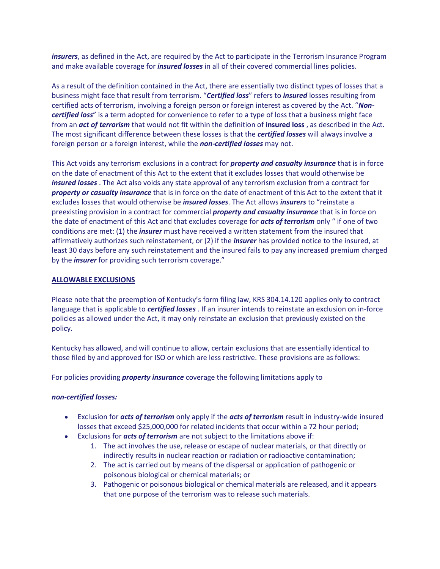*insurers*, as defined in the Act, are required by the Act to participate in the Terrorism Insurance Program and make available coverage for *insured losses* in all of their covered commercial lines policies.

As a result of the definition contained in the Act, there are essentially two distinct types of losses that a business might face that result from terrorism. "*Certified loss*" refers to *insured* losses resulting from certified acts of terrorism, involving a foreign person or foreign interest as covered by the Act. "*Noncertified loss*" is a term adopted for convenience to refer to a type of loss that a business might face from an *act of terrorism* that would not fit within the definition of **insured loss** , as described in the Act. The most significant difference between these losses is that the *certified losses* will always involve a foreign person or a foreign interest, while the *non-certified losses* may not.

This Act voids any terrorism exclusions in a contract for *property and casualty insurance* that is in force on the date of enactment of this Act to the extent that it excludes losses that would otherwise be *insured losses* . The Act also voids any state approval of any terrorism exclusion from a contract for *property or casualty insurance* that is in force on the date of enactment of this Act to the extent that it excludes losses that would otherwise be *insured losses*. The Act allows *insurers* to "reinstate a preexisting provision in a contract for commercial *property and casualty insurance* that is in force on the date of enactment of this Act and that excludes coverage for *acts of terrorism* only " if one of two conditions are met: (1) the *insurer* must have received a written statement from the insured that affirmatively authorizes such reinstatement, or (2) if the *insurer* has provided notice to the insured, at least 30 days before any such reinstatement and the insured fails to pay any increased premium charged by the *insurer* for providing such terrorism coverage."

## **ALLOWABLE EXCLUSIONS**

Please note that the preemption of Kentucky's form filing law, KRS 304.14.120 applies only to contract language that is applicable to *certified losses* . If an insurer intends to reinstate an exclusion on in-force policies as allowed under the Act, it may only reinstate an exclusion that previously existed on the policy.

Kentucky has allowed, and will continue to allow, certain exclusions that are essentially identical to those filed by and approved for ISO or which are less restrictive. These provisions are as follows:

For policies providing *property insurance* coverage the following limitations apply to

## *non-certified losses:*

- Exclusion for *acts of terrorism* only apply if the *acts of terrorism* result in industry-wide insured losses that exceed \$25,000,000 for related incidents that occur within a 72 hour period;
- Exclusions for *acts of terrorism* are not subject to the limitations above if:
	- 1. The act involves the use, release or escape of nuclear materials, or that directly or indirectly results in nuclear reaction or radiation or radioactive contamination;
	- 2. The act is carried out by means of the dispersal or application of pathogenic or poisonous biological or chemical materials; or
	- 3. Pathogenic or poisonous biological or chemical materials are released, and it appears that one purpose of the terrorism was to release such materials.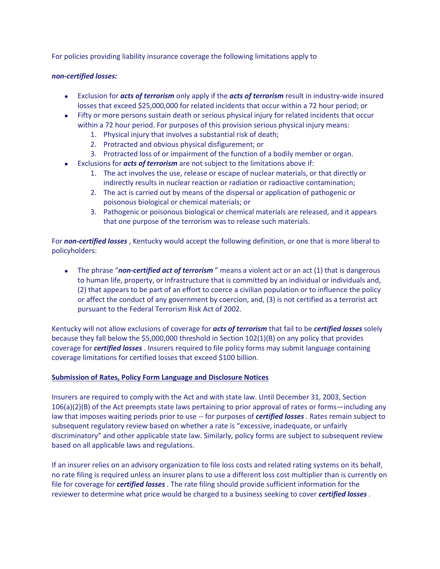For policies providing liability insurance coverage the following limitations apply to

## *non-certified losses:*

- Exclusion for *acts of terrorism* only apply if the *acts of terrorism* result in industry-wide insured losses that exceed \$25,000,000 for related incidents that occur within a 72 hour period; or
- Fifty or more persons sustain death or serious physical injury for related incidents that occur within a 72 hour period. For purposes of this provision serious physical injury means:
	- 1. Physical injury that involves a substantial risk of death;
	- 2. Protracted and obvious physical disfigurement; or
	- 3. Protracted loss of or impairment of the function of a bodily member or organ.
- Exclusions for *acts of terrorism* are not subject to the limitations above if:  $\bullet$ 
	- 1. The act involves the use, release or escape of nuclear materials, or that directly or indirectly results in nuclear reaction or radiation or radioactive contamination;
	- 2. The act is carried out by means of the dispersal or application of pathogenic or poisonous biological or chemical materials; or
	- 3. Pathogenic or poisonous biological or chemical materials are released, and it appears that one purpose of the terrorism was to release such materials.

For *non-certified losses* , Kentucky would accept the following definition, or one that is more liberal to policyholders:

• The phrase "**non-certified act of terrorism**" means a violent act or an act (1) that is dangerous to human life, property, or infrastructure that is committed by an individual or individuals and, (2) that appears to be part of an effort to coerce a civilian population or to influence the policy or affect the conduct of any government by coercion, and, (3) is not certified as a terrorist act pursuant to the Federal Terrorism Risk Act of 2002.

Kentucky will not allow exclusions of coverage for *acts of terrorism* that fail to be *certified losses* solely because they fall below the \$5,000,000 threshold in Section 102(1)(B) on any policy that provides coverage for *certified losses* . Insurers required to file policy forms may submit language containing coverage limitations for certified losses that exceed \$100 billion.

## **Submission of Rates, Policy Form Language and Disclosure Notices**

Insurers are required to comply with the Act and with state law. Until December 31, 2003, Section 106(a)(2)(B) of the Act preempts state laws pertaining to prior approval of rates or forms—including any law that imposes waiting periods prior to use -- for purposes of *certified losses* . Rates remain subject to subsequent regulatory review based on whether a rate is "excessive, inadequate, or unfairly discriminatory" and other applicable state law. Similarly, policy forms are subject to subsequent review based on all applicable laws and regulations.

If an insurer relies on an advisory organization to file loss costs and related rating systems on its behalf, no rate filing is required unless an insurer plans to use a different loss cost multiplier than is currently on file for coverage for *certified losses* . The rate filing should provide sufficient information for the reviewer to determine what price would be charged to a business seeking to cover *certified losses* .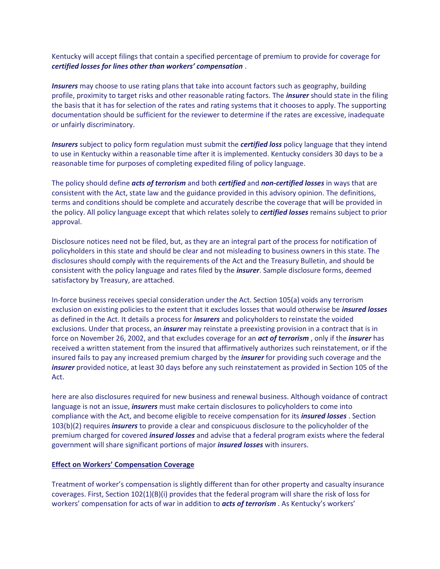Kentucky will accept filings that contain a specified percentage of premium to provide for coverage for *certified losses for lines other than workers' compensation* .

*Insurers* may choose to use rating plans that take into account factors such as geography, building profile, proximity to target risks and other reasonable rating factors. The *insurer* should state in the filing the basis that it has for selection of the rates and rating systems that it chooses to apply. The supporting documentation should be sufficient for the reviewer to determine if the rates are excessive, inadequate or unfairly discriminatory.

*Insurers* subject to policy form regulation must submit the *certified loss* policy language that they intend to use in Kentucky within a reasonable time after it is implemented. Kentucky considers 30 days to be a reasonable time for purposes of completing expedited filing of policy language.

The policy should define *acts of terrorism* and both *certified* and *non-certified losses* in ways that are consistent with the Act, state law and the guidance provided in this advisory opinion. The definitions, terms and conditions should be complete and accurately describe the coverage that will be provided in the policy. All policy language except that which relates solely to *certified losses* remains subject to prior approval.

Disclosure notices need not be filed, but, as they are an integral part of the process for notification of policyholders in this state and should be clear and not misleading to business owners in this state. The disclosures should comply with the requirements of the Act and the Treasury Bulletin, and should be consistent with the policy language and rates filed by the *insurer*. Sample disclosure forms, deemed satisfactory by Treasury, are attached.

In-force business receives special consideration under the Act. Section 105(a) voids any terrorism exclusion on existing policies to the extent that it excludes losses that would otherwise be *insured losses*  as defined in the Act. It details a process for *insurers* and policyholders to reinstate the voided exclusions. Under that process, an *insurer* may reinstate a preexisting provision in a contract that is in force on November 26, 2002, and that excludes coverage for an *act of terrorism* , only if the *insurer* has received a written statement from the insured that affirmatively authorizes such reinstatement, or if the insured fails to pay any increased premium charged by the *insurer* for providing such coverage and the *insurer* provided notice, at least 30 days before any such reinstatement as provided in Section 105 of the Act.

here are also disclosures required for new business and renewal business. Although voidance of contract language is not an issue, *insurers* must make certain disclosures to policyholders to come into compliance with the Act, and become eligible to receive compensation for its *insured losses* . Section 103(b)(2) requires *insurers* to provide a clear and conspicuous disclosure to the policyholder of the premium charged for covered *insured losses* and advise that a federal program exists where the federal government will share significant portions of major *insured losses* with insurers.

#### **Effect on Workers' Compensation Coverage**

Treatment of worker's compensation is slightly different than for other property and casualty insurance coverages. First, Section 102(1)(B)(i) provides that the federal program will share the risk of loss for workers' compensation for acts of war in addition to *acts of terrorism* . As Kentucky's workers'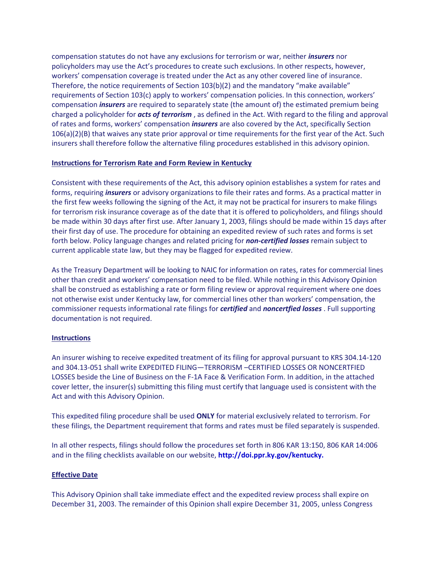compensation statutes do not have any exclusions for terrorism or war, neither *insurers* nor policyholders may use the Act's procedures to create such exclusions. In other respects, however, workers' compensation coverage is treated under the Act as any other covered line of insurance. Therefore, the notice requirements of Section 103(b)(2) and the mandatory "make available" requirements of Section 103(c) apply to workers' compensation policies. In this connection, workers' compensation *insurers* are required to separately state (the amount of) the estimated premium being charged a policyholder for *acts of terrorism* , as defined in the Act. With regard to the filing and approval of rates and forms, workers' compensation *insurers* are also covered by the Act, specifically Section 106(a)(2)(B) that waives any state prior approval or time requirements for the first year of the Act. Such insurers shall therefore follow the alternative filing procedures established in this advisory opinion.

### **Instructions for Terrorism Rate and Form Review in Kentucky**

Consistent with these requirements of the Act, this advisory opinion establishes a system for rates and forms, requiring *insurers* or advisory organizations to file their rates and forms. As a practical matter in the first few weeks following the signing of the Act, it may not be practical for insurers to make filings for terrorism risk insurance coverage as of the date that it is offered to policyholders, and filings should be made within 30 days after first use. After January 1, 2003, filings should be made within 15 days after their first day of use. The procedure for obtaining an expedited review of such rates and forms is set forth below. Policy language changes and related pricing for *non-certified losses* remain subject to current applicable state law, but they may be flagged for expedited review.

As the Treasury Department will be looking to NAIC for information on rates, rates for commercial lines other than credit and workers' compensation need to be filed. While nothing in this Advisory Opinion shall be construed as establishing a rate or form filing review or approval requirement where one does not otherwise exist under Kentucky law, for commercial lines other than workers' compensation, the commissioner requests informational rate filings for *certified* and *noncertfied losses* . Full supporting documentation is not required.

## **Instructions**

An insurer wishing to receive expedited treatment of its filing for approval pursuant to KRS 304.14-120 and 304.13-051 shall write EXPEDITED FILING—TERRORISM –CERTIFIED LOSSES OR NONCERTFIED LOSSES beside the Line of Business on the F-1A Face & Verification Form. In addition, in the attached cover letter, the insurer(s) submitting this filing must certify that language used is consistent with the Act and with this Advisory Opinion.

This expedited filing procedure shall be used **ONLY** for material exclusively related to terrorism. For these filings, the Department requirement that forms and rates must be filed separately is suspended.

In all other respects, filings should follow the procedures set forth in 806 KAR 13:150, 806 KAR 14:006 and in the filing checklists available on our website, **[http://doi.ppr.ky.gov/kentucky.](http://doi.ppr.ky.gov/kentucky)** 

## **Effective Date**

This Advisory Opinion shall take immediate effect and the expedited review process shall expire on December 31, 2003. The remainder of this Opinion shall expire December 31, 2005, unless Congress